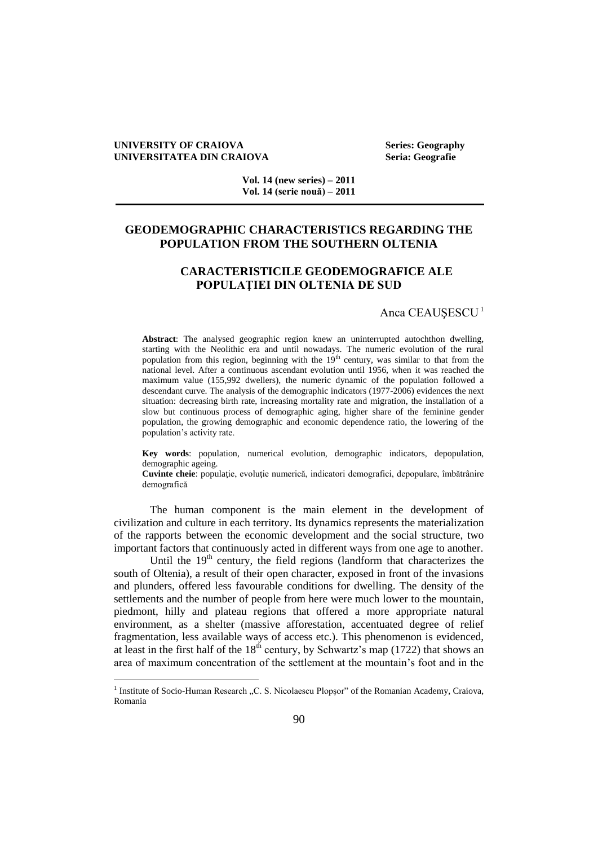#### **UNIVERSITY OF CRAIOVA Series: Geography UNIVERSITATEA DIN CRAIOVA Seria: Geografie**

 $\overline{a}$ 

**Vol. 14 (new series) – 2011 Vol. 14 (serie nouă) – 2011**

# **GEODEMOGRAPHIC CHARACTERISTICS REGARDING THE POPULATION FROM THE SOUTHERN OLTENIA**

# **CARACTERISTICILE GEODEMOGRAFICE ALE POPULAŢIEI DIN OLTENIA DE SUD**

### Anca CEAUŞESCU<sup>1</sup>

**Abstract**: The analysed geographic region knew an uninterrupted autochthon dwelling, starting with the Neolithic era and until nowadays. The numeric evolution of the rural population from this region, beginning with the 19<sup>th</sup> century, was similar to that from the national level. After a continuous ascendant evolution until 1956, when it was reached the maximum value (155,992 dwellers), the numeric dynamic of the population followed a descendant curve. The analysis of the demographic indicators (1977-2006) evidences the next situation: decreasing birth rate, increasing mortality rate and migration, the installation of a slow but continuous process of demographic aging, higher share of the feminine gender population, the growing demographic and economic dependence ratio, the lowering of the population's activity rate.

**Key words**: population, numerical evolution, demographic indicators, depopulation, demographic ageing.

**Cuvinte cheie**: populație, evoluție numerică, indicatori demografici, depopulare, îmbătrânire demografică

The human component is the main element in the development of civilization and culture in each territory. Its dynamics represents the materialization of the rapports between the economic development and the social structure, two important factors that continuously acted in different ways from one age to another.

Until the  $19<sup>th</sup>$  century, the field regions (landform that characterizes the south of Oltenia), a result of their open character, exposed in front of the invasions and plunders, offered less favourable conditions for dwelling. The density of the settlements and the number of people from here were much lower to the mountain, piedmont, hilly and plateau regions that offered a more appropriate natural environment, as a shelter (massive afforestation, accentuated degree of relief fragmentation, less available ways of access etc.). This phenomenon is evidenced, at least in the first half of the  $18<sup>th</sup>$  century, by Schwartz's map (1722) that shows an area of maximum concentration of the settlement at the mountain's foot and in the

<sup>&</sup>lt;sup>1</sup> Institute of Socio-Human Research "C. S. Nicolaescu Plopșor" of the Romanian Academy, Craiova, Romania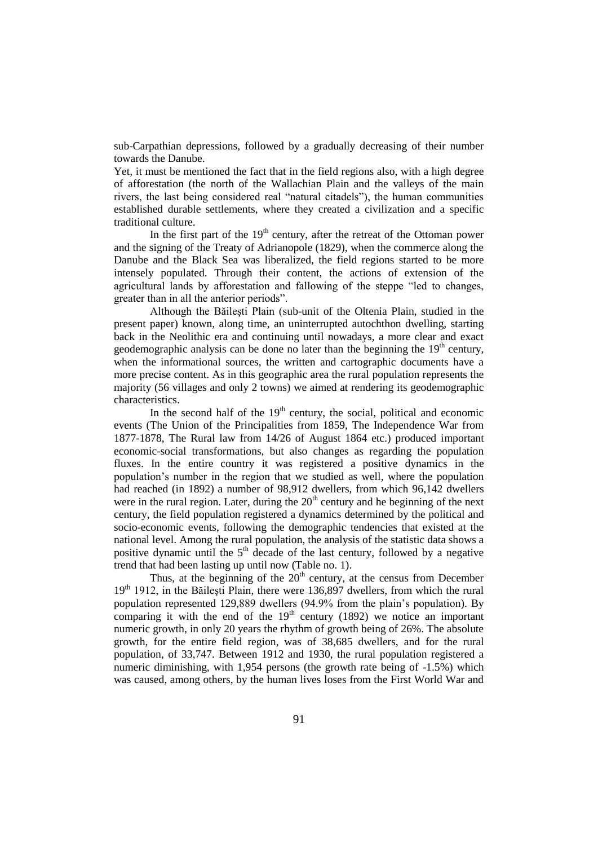sub-Carpathian depressions, followed by a gradually decreasing of their number towards the Danube.

Yet, it must be mentioned the fact that in the field regions also, with a high degree of afforestation (the north of the Wallachian Plain and the valleys of the main rivers, the last being considered real "natural citadels"), the human communities established durable settlements, where they created a civilization and a specific traditional culture.

In the first part of the  $19<sup>th</sup>$  century, after the retreat of the Ottoman power and the signing of the Treaty of Adrianopole (1829), when the commerce along the Danube and the Black Sea was liberalized, the field regions started to be more intensely populated. Through their content, the actions of extension of the agricultural lands by afforestation and fallowing of the steppe "led to changes, greater than in all the anterior periods".

Although the Băileşti Plain (sub-unit of the Oltenia Plain, studied in the present paper) known, along time, an uninterrupted autochthon dwelling, starting back in the Neolithic era and continuing until nowadays, a more clear and exact geodemographic analysis can be done no later than the beginning the  $19<sup>th</sup>$  century, when the informational sources, the written and cartographic documents have a more precise content. As in this geographic area the rural population represents the majority (56 villages and only 2 towns) we aimed at rendering its geodemographic characteristics.

In the second half of the  $19<sup>th</sup>$  century, the social, political and economic events (The Union of the Principalities from 1859, The Independence War from 1877-1878, The Rural law from 14/26 of August 1864 etc.) produced important economic-social transformations, but also changes as regarding the population fluxes. In the entire country it was registered a positive dynamics in the population's number in the region that we studied as well, where the population had reached (in 1892) a number of 98,912 dwellers, from which 96,142 dwellers were in the rural region. Later, during the  $20<sup>th</sup>$  century and he beginning of the next century, the field population registered a dynamics determined by the political and socio-economic events, following the demographic tendencies that existed at the national level. Among the rural population, the analysis of the statistic data shows a positive dynamic until the  $5<sup>th</sup>$  decade of the last century, followed by a negative trend that had been lasting up until now (Table no. 1).

Thus, at the beginning of the  $20<sup>th</sup>$  century, at the census from December 19<sup>th</sup> 1912, in the Băilești Plain, there were 136,897 dwellers, from which the rural population represented 129,889 dwellers (94.9% from the plain's population). By comparing it with the end of the  $19<sup>th</sup>$  century (1892) we notice an important numeric growth, in only 20 years the rhythm of growth being of 26%. The absolute growth, for the entire field region, was of 38,685 dwellers, and for the rural population, of 33,747. Between 1912 and 1930, the rural population registered a numeric diminishing, with 1,954 persons (the growth rate being of -1.5%) which was caused, among others, by the human lives loses from the First World War and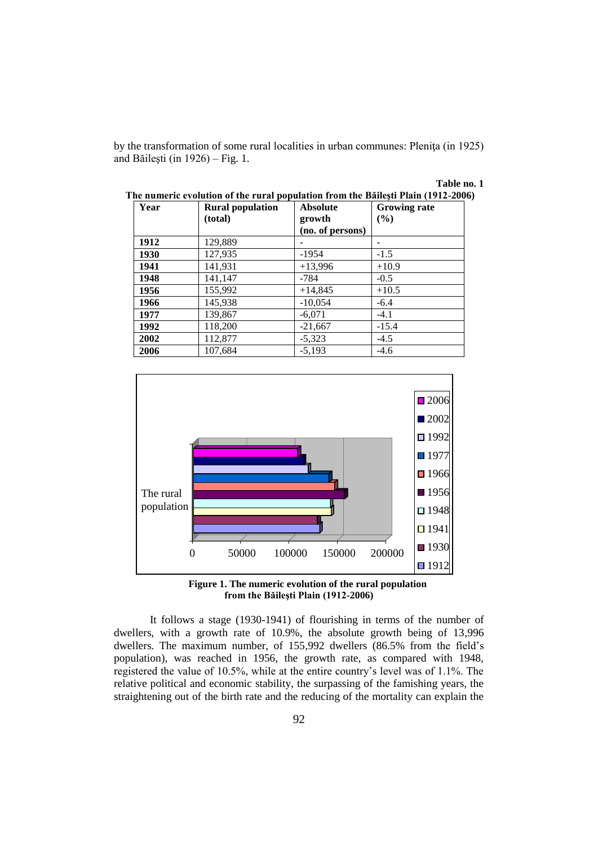by the transformation of some rural localities in urban communes: Pleniţa (in 1925) and Băileşti (in 1926) – Fig. 1.

## **Table no. 1**

| Year | <b>Rural population</b><br>(total) | <b>Absolute</b><br>growth<br>(no. of persons) | <b>Growing rate</b><br>(%) |  |  |
|------|------------------------------------|-----------------------------------------------|----------------------------|--|--|
| 1912 | 129,889                            |                                               |                            |  |  |
| 1930 | 127,935                            | $-1954$                                       | $-1.5$                     |  |  |
| 1941 | 141,931                            | $+13,996$                                     | $+10.9$                    |  |  |
| 1948 | 141,147                            | $-784$                                        | $-0.5$                     |  |  |
| 1956 | 155,992                            | $+14,845$                                     | $+10.5$                    |  |  |
| 1966 | 145,938                            | $-10,054$                                     | $-6.4$                     |  |  |
| 1977 | 139,867                            | $-6,071$                                      | $-4.1$                     |  |  |
| 1992 | 118,200                            | $-21,667$                                     | $-15.4$                    |  |  |
| 2002 | 112,877                            | $-5,323$                                      | $-4.5$                     |  |  |
| 2006 | 107,684                            | $-5.193$                                      | $-4.6$                     |  |  |

| The numeric evolution of the rural population from the Băilești Plain (1912-2006) |  |  |
|-----------------------------------------------------------------------------------|--|--|
|                                                                                   |  |  |



 **Figure 1. The numeric evolution of the rural population from the Băileşti Plain (1912-2006)**

It follows a stage (1930-1941) of flourishing in terms of the number of dwellers, with a growth rate of 10.9%, the absolute growth being of 13,996 dwellers. The maximum number, of 155,992 dwellers (86.5% from the field's population), was reached in 1956, the growth rate, as compared with 1948, registered the value of 10.5%, while at the entire country's level was of 1.1%. The relative political and economic stability, the surpassing of the famishing years, the straightening out of the birth rate and the reducing of the mortality can explain the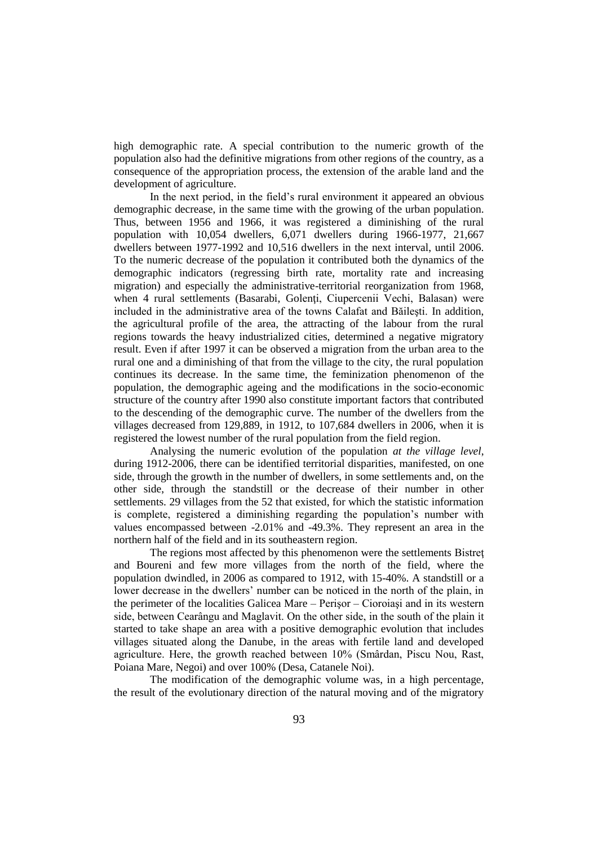high demographic rate. A special contribution to the numeric growth of the population also had the definitive migrations from other regions of the country, as a consequence of the appropriation process, the extension of the arable land and the development of agriculture.

In the next period, in the field's rural environment it appeared an obvious demographic decrease, in the same time with the growing of the urban population. Thus, between 1956 and 1966, it was registered a diminishing of the rural population with 10,054 dwellers, 6,071 dwellers during 1966-1977, 21,667 dwellers between 1977-1992 and 10,516 dwellers in the next interval, until 2006. To the numeric decrease of the population it contributed both the dynamics of the demographic indicators (regressing birth rate, mortality rate and increasing migration) and especially the administrative-territorial reorganization from 1968, when 4 rural settlements (Basarabi, Golenti, Ciupercenii Vechi, Balasan) were included in the administrative area of the towns Calafat and Băileşti. In addition, the agricultural profile of the area, the attracting of the labour from the rural regions towards the heavy industrialized cities, determined a negative migratory result. Even if after 1997 it can be observed a migration from the urban area to the rural one and a diminishing of that from the village to the city, the rural population continues its decrease. In the same time, the feminization phenomenon of the population, the demographic ageing and the modifications in the socio-economic structure of the country after 1990 also constitute important factors that contributed to the descending of the demographic curve. The number of the dwellers from the villages decreased from 129,889, in 1912, to 107,684 dwellers in 2006, when it is registered the lowest number of the rural population from the field region.

Analysing the numeric evolution of the population *at the village level*, during 1912-2006, there can be identified territorial disparities, manifested, on one side, through the growth in the number of dwellers, in some settlements and, on the other side, through the standstill or the decrease of their number in other settlements. 29 villages from the 52 that existed, for which the statistic information is complete, registered a diminishing regarding the population's number with values encompassed between -2.01% and -49.3%. They represent an area in the northern half of the field and in its southeastern region.

The regions most affected by this phenomenon were the settlements Bistreţ and Boureni and few more villages from the north of the field, where the population dwindled, in 2006 as compared to 1912, with 15-40%. A standstill or a lower decrease in the dwellers' number can be noticed in the north of the plain, in the perimeter of the localities Galicea Mare – Perişor – Cioroiaşi and in its western side, between Cearângu and Maglavit. On the other side, in the south of the plain it started to take shape an area with a positive demographic evolution that includes villages situated along the Danube, in the areas with fertile land and developed agriculture. Here, the growth reached between 10% (Smârdan, Piscu Nou, Rast, Poiana Mare, Negoi) and over 100% (Desa, Catanele Noi).

The modification of the demographic volume was, in a high percentage, the result of the evolutionary direction of the natural moving and of the migratory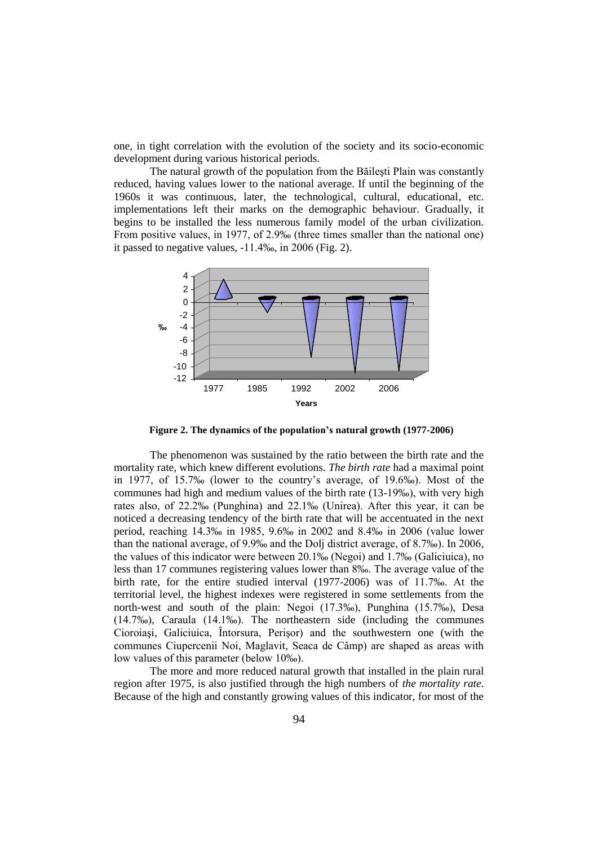one, in tight correlation with the evolution of the society and its socio-economic development during various historical periods.

The natural growth of the population from the Băileşti Plain was constantly reduced, having values lower to the national average. If until the beginning of the 1960s it was continuous, later, the technological, cultural, educational, etc. implementations left their marks on the demographic behaviour. Gradually, it begins to be installed the less numerous family model of the urban civilization. From positive values, in 1977, of 2.9‰ (three times smaller than the national one) it passed to negative values, -11.4‰, in 2006 (Fig. 2).



**Figure 2. The dynamics of the population's natural growth (1977-2006)**

The phenomenon was sustained by the ratio between the birth rate and the mortality rate, which knew different evolutions. *The birth rate* had a maximal point in 1977, of 15.7‰ (lower to the country's average, of 19.6‰). Most of the communes had high and medium values of the birth rate (13-19‰), with very high rates also, of 22.2‰ (Punghina) and 22.1‰ (Unirea). After this year, it can be noticed a decreasing tendency of the birth rate that will be accentuated in the next period, reaching 14.3‰ in 1985, 9.6‰ in 2002 and 8.4‰ in 2006 (value lower than the national average, of 9.9‰ and the Dolj district average, of 8.7‰). In 2006, the values of this indicator were between 20.1‰ (Negoi) and 1.7‰ (Galiciuica), no less than 17 communes registering values lower than 8‰. The average value of the birth rate, for the entire studied interval (1977-2006) was of 11.7‰. At the territorial level, the highest indexes were registered in some settlements from the north-west and south of the plain: Negoi (17.3‰), Punghina (15.7‰), Desa (14.7‰), Caraula (14.1‰). The northeastern side (including the communes Cioroiaşi, Galiciuica, Întorsura, Perişor) and the southwestern one (with the communes Ciupercenii Noi, Maglavit, Seaca de Câmp) are shaped as areas with low values of this parameter (below 10‰).

The more and more reduced natural growth that installed in the plain rural region after 1975, is also justified through the high numbers of *the mortality rate*. Because of the high and constantly growing values of this indicator, for most of the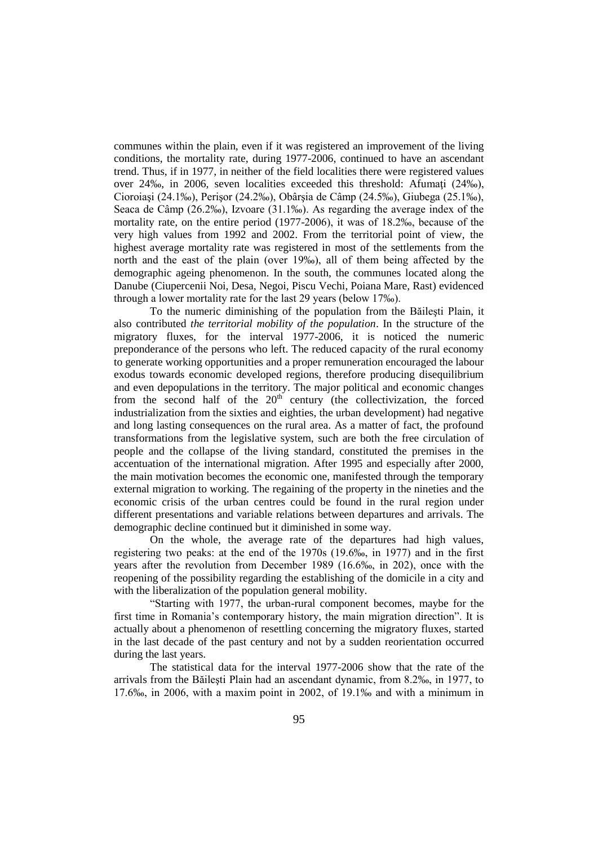communes within the plain, even if it was registered an improvement of the living conditions, the mortality rate, during 1977-2006, continued to have an ascendant trend. Thus, if in 1977, in neither of the field localities there were registered values over 24‰, in 2006, seven localities exceeded this threshold: Afumati (24‰), Cioroiaşi (24.1‰), Perişor (24.2‰), Obârşia de Câmp (24.5‰), Giubega (25.1‰), Seaca de Câmp (26.2‰), Izvoare (31.1‰). As regarding the average index of the mortality rate, on the entire period (1977-2006), it was of 18.2‰, because of the very high values from 1992 and 2002. From the territorial point of view, the highest average mortality rate was registered in most of the settlements from the north and the east of the plain (over 19‰), all of them being affected by the demographic ageing phenomenon. In the south, the communes located along the Danube (Ciupercenii Noi, Desa, Negoi, Piscu Vechi, Poiana Mare, Rast) evidenced through a lower mortality rate for the last 29 years (below 17‰).

To the numeric diminishing of the population from the Băileşti Plain, it also contributed *the territorial mobility of the population*. In the structure of the migratory fluxes, for the interval 1977-2006, it is noticed the numeric preponderance of the persons who left. The reduced capacity of the rural economy to generate working opportunities and a proper remuneration encouraged the labour exodus towards economic developed regions, therefore producing disequilibrium and even depopulations in the territory. The major political and economic changes from the second half of the  $20<sup>th</sup>$  century (the collectivization, the forced industrialization from the sixties and eighties, the urban development) had negative and long lasting consequences on the rural area. As a matter of fact, the profound transformations from the legislative system, such are both the free circulation of people and the collapse of the living standard, constituted the premises in the accentuation of the international migration. After 1995 and especially after 2000, the main motivation becomes the economic one, manifested through the temporary external migration to working. The regaining of the property in the nineties and the economic crisis of the urban centres could be found in the rural region under different presentations and variable relations between departures and arrivals. The demographic decline continued but it diminished in some way.

On the whole, the average rate of the departures had high values, registering two peaks: at the end of the 1970s (19.6‰, in 1977) and in the first years after the revolution from December 1989 (16.6‰, in 202), once with the reopening of the possibility regarding the establishing of the domicile in a city and with the liberalization of the population general mobility.

"Starting with 1977, the urban-rural component becomes, maybe for the first time in Romania's contemporary history, the main migration direction". It is actually about a phenomenon of resettling concerning the migratory fluxes, started in the last decade of the past century and not by a sudden reorientation occurred during the last years.

The statistical data for the interval 1977-2006 show that the rate of the arrivals from the Băileşti Plain had an ascendant dynamic, from 8.2‰, in 1977, to 17.6‰, in 2006, with a maxim point in 2002, of 19.1‰ and with a minimum in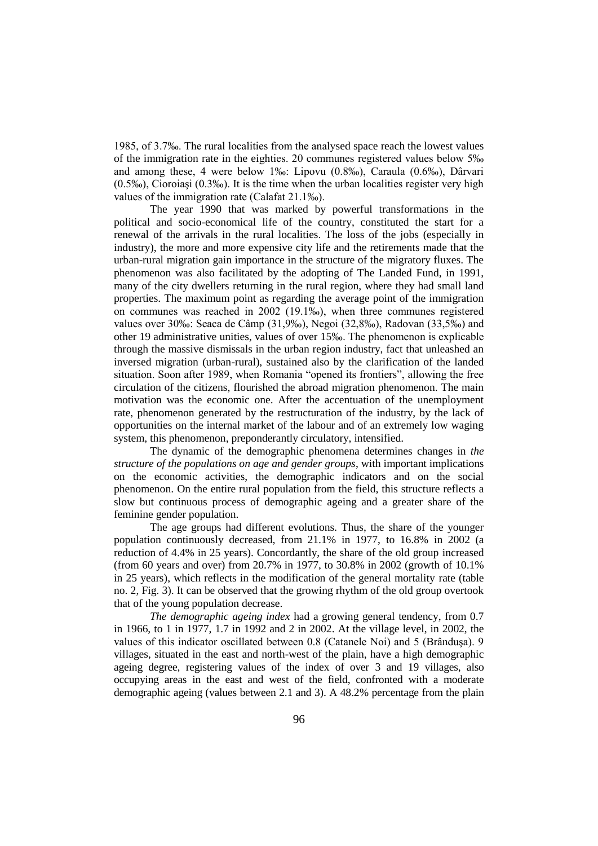1985, of 3.7‰. The rural localities from the analysed space reach the lowest values of the immigration rate in the eighties. 20 communes registered values below 5‰ and among these, 4 were below 1‰: Lipovu (0.8‰), Caraula (0.6‰), Dârvari (0.5‰), Cioroiaşi (0.3‰). It is the time when the urban localities register very high values of the immigration rate (Calafat 21.1‰).

The year 1990 that was marked by powerful transformations in the political and socio-economical life of the country, constituted the start for a renewal of the arrivals in the rural localities. The loss of the jobs (especially in industry), the more and more expensive city life and the retirements made that the urban-rural migration gain importance in the structure of the migratory fluxes. The phenomenon was also facilitated by the adopting of The Landed Fund, in 1991, many of the city dwellers returning in the rural region, where they had small land properties. The maximum point as regarding the average point of the immigration on communes was reached in 2002 (19.1‰), when three communes registered values over 30‰: Seaca de Câmp (31,9‰), Negoi (32,8‰), Radovan (33,5‰) and other 19 administrative unities, values of over 15‰. The phenomenon is explicable through the massive dismissals in the urban region industry, fact that unleashed an inversed migration (urban-rural), sustained also by the clarification of the landed situation. Soon after 1989, when Romania "opened its frontiers", allowing the free circulation of the citizens, flourished the abroad migration phenomenon. The main motivation was the economic one. After the accentuation of the unemployment rate, phenomenon generated by the restructuration of the industry, by the lack of opportunities on the internal market of the labour and of an extremely low waging system, this phenomenon, preponderantly circulatory, intensified.

The dynamic of the demographic phenomena determines changes in *the structure of the populations on age and gender groups*, with important implications on the economic activities, the demographic indicators and on the social phenomenon. On the entire rural population from the field, this structure reflects a slow but continuous process of demographic ageing and a greater share of the feminine gender population.

The age groups had different evolutions. Thus, the share of the younger population continuously decreased, from 21.1% in 1977, to 16.8% in 2002 (a reduction of 4.4% in 25 years). Concordantly, the share of the old group increased (from 60 years and over) from 20.7% in 1977, to 30.8% in 2002 (growth of 10.1% in 25 years), which reflects in the modification of the general mortality rate (table no. 2, Fig. 3). It can be observed that the growing rhythm of the old group overtook that of the young population decrease.

*The demographic ageing index* had a growing general tendency, from 0.7 in 1966, to 1 in 1977, 1.7 in 1992 and 2 in 2002. At the village level, in 2002, the values of this indicator oscillated between 0.8 (Catanele Noi) and 5 (Brânduşa). 9 villages, situated in the east and north-west of the plain, have a high demographic ageing degree, registering values of the index of over 3 and 19 villages, also occupying areas in the east and west of the field, confronted with a moderate demographic ageing (values between 2.1 and 3). A 48.2% percentage from the plain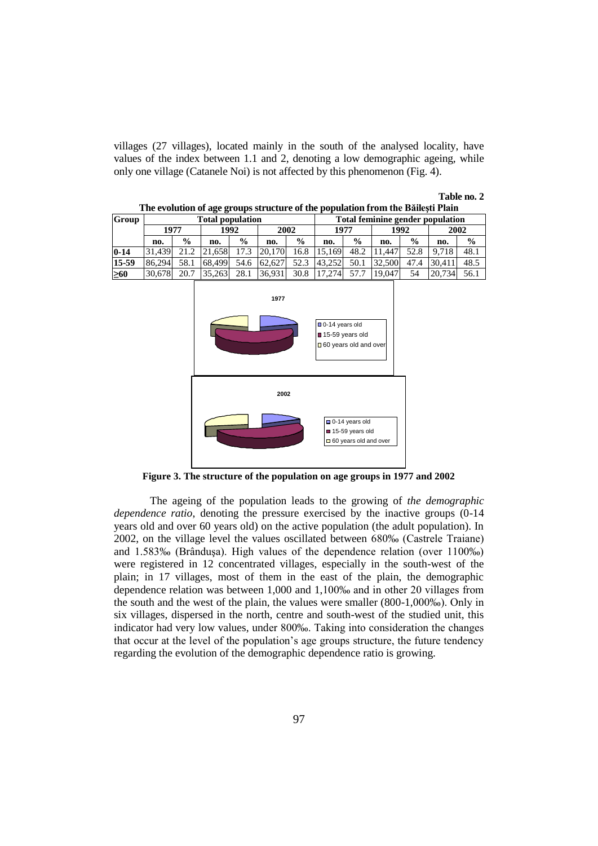villages (27 villages), located mainly in the south of the analysed locality, have values of the index between 1.1 and 2, denoting a low demographic ageing, while only one village (Catanele Noi) is not affected by this phenomenon (Fig. 4).

#### **Table no. 2 The evolution of age groups structure of the population from the Băileşti Plain**

|              | The evolution of age groups su acture or the population from the Dancytr Flam |               |        |               |        |               |                                  |               |        |               |        |               |
|--------------|-------------------------------------------------------------------------------|---------------|--------|---------------|--------|---------------|----------------------------------|---------------|--------|---------------|--------|---------------|
| <b>Group</b> | Total population                                                              |               |        |               |        |               | Total feminine gender population |               |        |               |        |               |
|              | 1977                                                                          |               |        | 1992          | 2002   |               | 1977                             |               | 1992   |               | 2002   |               |
|              | no.                                                                           | $\frac{0}{0}$ | no.    | $\frac{0}{0}$ | no.    | $\frac{0}{0}$ | no.                              | $\frac{6}{9}$ | no.    | $\frac{0}{0}$ | no.    | $\frac{0}{0}$ |
| $0 - 14$     | 31.439                                                                        | 21.2          | 21.658 | 17.3          | 20.170 | 16.8          | 15.169                           | 48.2          | 11.447 | 52.8          | 9.718  | 48.1          |
| 15-59        | 86.294                                                                        | 58.1          | 68.499 | 54.6          | 62.627 | 52.3          | 43.252                           | 50.1          | 32,500 | 47.4          | 30.411 | 48.5          |
| $\geq 60$    | 30.678                                                                        | 20.7          | 35,263 | 28.1          | 36.931 | 30.8          | 17.274                           | 57.7          | 19.047 | 54            | 20.734 | 56.1          |





**Figure 3. The structure of the population on age groups in 1977 and 2002**

The ageing of the population leads to the growing of *the demographic dependence ratio*, denoting the pressure exercised by the inactive groups (0-14 years old and over 60 years old) on the active population (the adult population). In 2002, on the village level the values oscillated between 680‰ (Castrele Traiane) and 1.583‰ (Brânduşa). High values of the dependence relation (over 1100‰) were registered in 12 concentrated villages, especially in the south-west of the plain; in 17 villages, most of them in the east of the plain, the demographic dependence relation was between 1,000 and 1,100‰ and in other 20 villages from the south and the west of the plain, the values were smaller (800-1,000‰). Only in six villages, dispersed in the north, centre and south-west of the studied unit, this indicator had very low values, under 800‰. Taking into consideration the changes that occur at the level of the population's age groups structure, the future tendency regarding the evolution of the demographic dependence ratio is growing.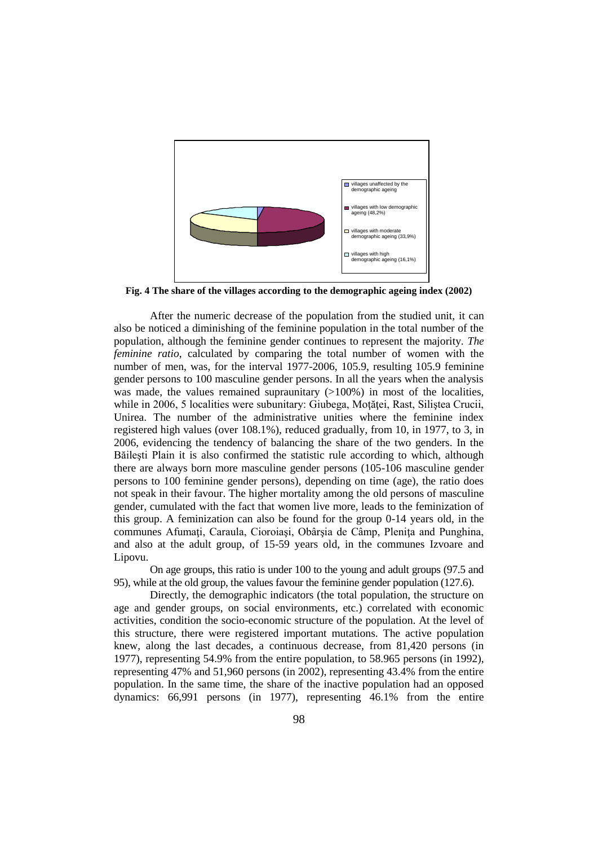

**Fig. 4 The share of the villages according to the demographic ageing index (2002)**

After the numeric decrease of the population from the studied unit, it can also be noticed a diminishing of the feminine population in the total number of the population, although the feminine gender continues to represent the majority. *The feminine ratio*, calculated by comparing the total number of women with the number of men, was, for the interval 1977-2006, 105.9, resulting 105.9 feminine gender persons to 100 masculine gender persons. In all the years when the analysis was made, the values remained supraunitary  $(>100%)$  in most of the localities, while in 2006, 5 localities were subunitary: Giubega, Motăței, Rast, Siliștea Crucii, Unirea. The number of the administrative unities where the feminine index registered high values (over 108.1%), reduced gradually, from 10, in 1977, to 3, in 2006, evidencing the tendency of balancing the share of the two genders. In the Băileşti Plain it is also confirmed the statistic rule according to which, although there are always born more masculine gender persons (105-106 masculine gender persons to 100 feminine gender persons), depending on time (age), the ratio does not speak in their favour. The higher mortality among the old persons of masculine gender, cumulated with the fact that women live more, leads to the feminization of this group. A feminization can also be found for the group 0-14 years old, in the communes Afumaţi, Caraula, Cioroiaşi, Obârşia de Câmp, Pleniţa and Punghina, and also at the adult group, of 15-59 years old, in the communes Izvoare and Lipovu.

On age groups, this ratio is under 100 to the young and adult groups (97.5 and 95), while at the old group, the values favour the feminine gender population (127.6).

Directly, the demographic indicators (the total population, the structure on age and gender groups, on social environments, etc.) correlated with economic activities, condition the socio-economic structure of the population. At the level of this structure, there were registered important mutations. The active population knew, along the last decades, a continuous decrease, from 81,420 persons (in 1977), representing 54.9% from the entire population, to 58.965 persons (in 1992), representing 47% and 51,960 persons (in 2002), representing 43.4% from the entire population. In the same time, the share of the inactive population had an opposed dynamics: 66,991 persons (in 1977), representing 46.1% from the entire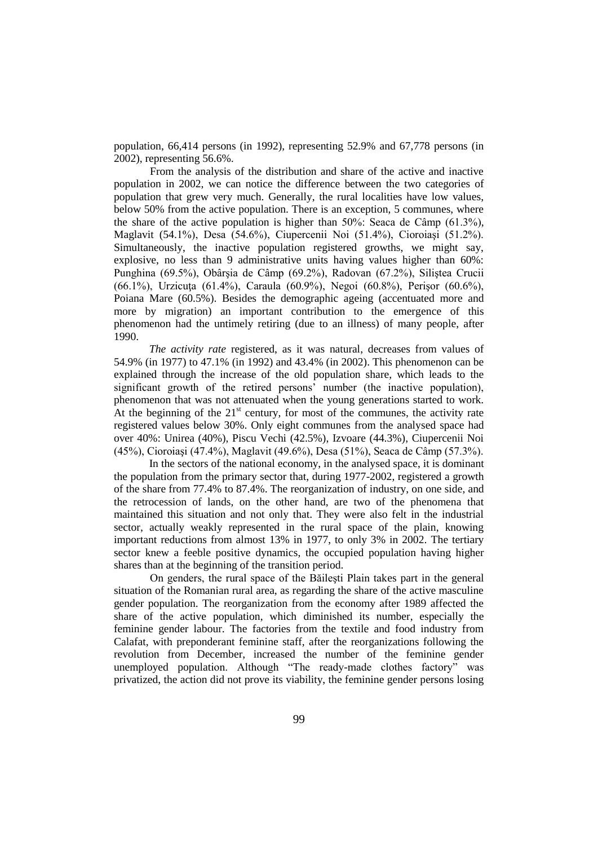population, 66,414 persons (in 1992), representing 52.9% and 67,778 persons (in 2002), representing 56.6%.

From the analysis of the distribution and share of the active and inactive population in 2002, we can notice the difference between the two categories of population that grew very much. Generally, the rural localities have low values, below 50% from the active population. There is an exception, 5 communes, where the share of the active population is higher than 50%: Seaca de Câmp (61.3%), Maglavit (54.1%), Desa (54.6%), Ciupercenii Noi (51.4%), Cioroiaşi (51.2%). Simultaneously, the inactive population registered growths, we might say, explosive, no less than 9 administrative units having values higher than 60%: Punghina (69.5%), Obârşia de Câmp (69.2%), Radovan (67.2%), Siliştea Crucii (66.1%), Urzicuţa (61.4%), Caraula (60.9%), Negoi (60.8%), Perişor (60.6%), Poiana Mare (60.5%). Besides the demographic ageing (accentuated more and more by migration) an important contribution to the emergence of this phenomenon had the untimely retiring (due to an illness) of many people, after 1990.

*The activity rate* registered, as it was natural, decreases from values of 54.9% (in 1977) to 47.1% (in 1992) and 43.4% (in 2002). This phenomenon can be explained through the increase of the old population share, which leads to the significant growth of the retired persons' number (the inactive population), phenomenon that was not attenuated when the young generations started to work. At the beginning of the  $21<sup>st</sup>$  century, for most of the communes, the activity rate registered values below 30%. Only eight communes from the analysed space had over 40%: Unirea (40%), Piscu Vechi (42.5%), Izvoare (44.3%), Ciupercenii Noi (45%), Cioroiaşi (47.4%), Maglavit (49.6%), Desa (51%), Seaca de Câmp (57.3%).

In the sectors of the national economy, in the analysed space, it is dominant the population from the primary sector that, during 1977-2002, registered a growth of the share from 77.4% to 87.4%. The reorganization of industry, on one side, and the retrocession of lands, on the other hand, are two of the phenomena that maintained this situation and not only that. They were also felt in the industrial sector, actually weakly represented in the rural space of the plain, knowing important reductions from almost 13% in 1977, to only 3% in 2002. The tertiary sector knew a feeble positive dynamics, the occupied population having higher shares than at the beginning of the transition period.

On genders, the rural space of the Băileşti Plain takes part in the general situation of the Romanian rural area, as regarding the share of the active masculine gender population. The reorganization from the economy after 1989 affected the share of the active population, which diminished its number, especially the feminine gender labour. The factories from the textile and food industry from Calafat, with preponderant feminine staff, after the reorganizations following the revolution from December, increased the number of the feminine gender unemployed population. Although "The ready-made clothes factory" was privatized, the action did not prove its viability, the feminine gender persons losing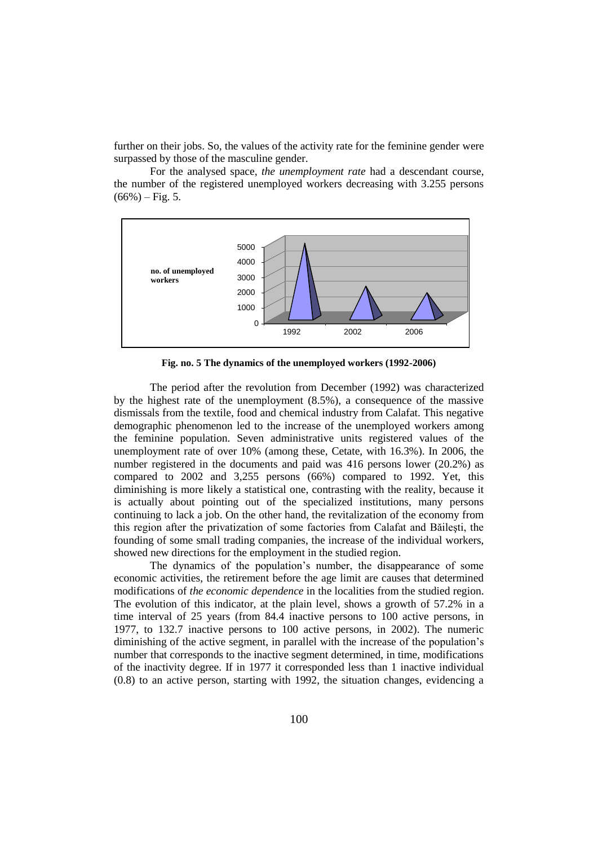further on their jobs. So, the values of the activity rate for the feminine gender were surpassed by those of the masculine gender.

For the analysed space, *the unemployment rate* had a descendant course, the number of the registered unemployed workers decreasing with 3.255 persons  $(66\%) - Fig. 5.$ 



**Fig. no. 5 The dynamics of the unemployed workers (1992-2006)**

The period after the revolution from December (1992) was characterized by the highest rate of the unemployment (8.5%), a consequence of the massive dismissals from the textile, food and chemical industry from Calafat. This negative demographic phenomenon led to the increase of the unemployed workers among the feminine population. Seven administrative units registered values of the unemployment rate of over 10% (among these, Cetate, with 16.3%). In 2006, the number registered in the documents and paid was 416 persons lower (20.2%) as compared to 2002 and 3,255 persons (66%) compared to 1992. Yet, this diminishing is more likely a statistical one, contrasting with the reality, because it is actually about pointing out of the specialized institutions, many persons continuing to lack a job. On the other hand, the revitalization of the economy from this region after the privatization of some factories from Calafat and Băileşti, the founding of some small trading companies, the increase of the individual workers, showed new directions for the employment in the studied region.

The dynamics of the population's number, the disappearance of some economic activities, the retirement before the age limit are causes that determined modifications of *the economic dependence* in the localities from the studied region. The evolution of this indicator, at the plain level, shows a growth of 57.2% in a time interval of 25 years (from 84.4 inactive persons to 100 active persons, in 1977, to 132.7 inactive persons to 100 active persons, in 2002). The numeric diminishing of the active segment, in parallel with the increase of the population's number that corresponds to the inactive segment determined, in time, modifications of the inactivity degree. If in 1977 it corresponded less than 1 inactive individual (0.8) to an active person, starting with 1992, the situation changes, evidencing a